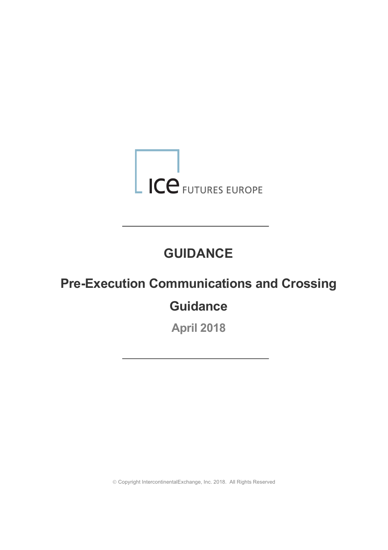

# **GUIDANCE**

# **Pre-Execution Communications and Crossing**

# **Guidance**

**April 2018**

Ó Copyright IntercontinentalExchange, Inc. 2018. All Rights Reserved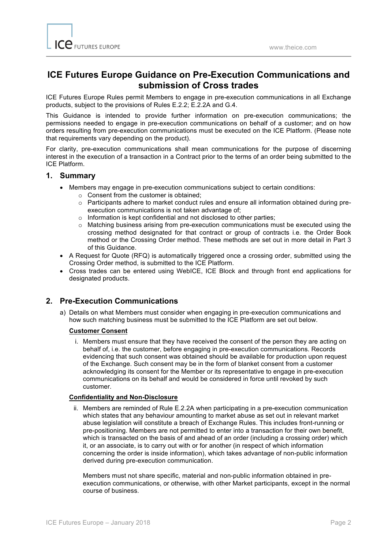# **ICE Futures Europe Guidance on Pre-Execution Communications and submission of Cross trades**

ICE Futures Europe Rules permit Members to engage in pre-execution communications in all Exchange products, subject to the provisions of Rules E.2.2; E.2.2A and G.4.

This Guidance is intended to provide further information on pre-execution communications; the permissions needed to engage in pre-execution communications on behalf of a customer; and on how orders resulting from pre-execution communications must be executed on the ICE Platform. (Please note that requirements vary depending on the product).

For clarity, pre-execution communications shall mean communications for the purpose of discerning interest in the execution of a transaction in a Contract prior to the terms of an order being submitted to the ICE Platform.

#### **1. Summary**

- Members may engage in pre-execution communications subject to certain conditions:
	- o Consent from the customer is obtained;
	- o Participants adhere to market conduct rules and ensure all information obtained during preexecution communications is not taken advantage of;
	- o Information is kept confidential and not disclosed to other parties;
	- o Matching business arising from pre-execution communications must be executed using the crossing method designated for that contract or group of contracts i.e. the Order Book method or the Crossing Order method. These methods are set out in more detail in Part 3 of this Guidance.
- A Request for Quote (RFQ) is automatically triggered once a crossing order, submitted using the Crossing Order method, is submitted to the ICE Platform.
- Cross trades can be entered using WebICE, ICE Block and through front end applications for designated products.

### **2. Pre-Execution Communications**

a) Details on what Members must consider when engaging in pre-execution communications and how such matching business must be submitted to the ICE Platform are set out below.

#### **Customer Consent**

i. Members must ensure that they have received the consent of the person they are acting on behalf of, i.e. the customer, before engaging in pre-execution communications. Records evidencing that such consent was obtained should be available for production upon request of the Exchange. Such consent may be in the form of blanket consent from a customer acknowledging its consent for the Member or its representative to engage in pre-execution communications on its behalf and would be considered in force until revoked by such customer.

#### **Confidentiality and Non-Disclosure**

ii. Members are reminded of Rule E.2.2A when participating in a pre-execution communication which states that any behaviour amounting to market abuse as set out in relevant market abuse legislation will constitute a breach of Exchange Rules. This includes front-running or pre-positioning. Members are not permitted to enter into a transaction for their own benefit, which is transacted on the basis of and ahead of an order (including a crossing order) which it, or an associate, is to carry out with or for another (in respect of which information concerning the order is inside information), which takes advantage of non-public information derived during pre-execution communication.

Members must not share specific, material and non-public information obtained in preexecution communications, or otherwise, with other Market participants, except in the normal course of business.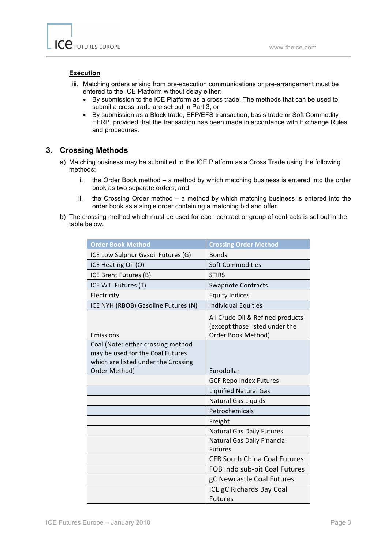#### **Execution**

- iii. Matching orders arising from pre-execution communications or pre-arrangement must be entered to the ICE Platform without delay either:
	- By submission to the ICE Platform as a cross trade. The methods that can be used to submit a cross trade are set out in Part 3; or
	- By submission as a Block trade, EFP/EFS transaction, basis trade or Soft Commodity EFRP, provided that the transaction has been made in accordance with Exchange Rules and procedures.

#### **3. Crossing Methods**

- a) Matching business may be submitted to the ICE Platform as a Cross Trade using the following methods:
	- i. the Order Book method a method by which matching business is entered into the order book as two separate orders; and
	- ii. the Crossing Order method a method by which matching business is entered into the order book as a single order containing a matching bid and offer.
- b) The crossing method which must be used for each contract or group of contracts is set out in the table below.

| <b>Order Book Method</b>                                               | <b>Crossing Order Method</b>                                                             |
|------------------------------------------------------------------------|------------------------------------------------------------------------------------------|
| ICE Low Sulphur Gasoil Futures (G)                                     | <b>Bonds</b>                                                                             |
| ICE Heating Oil (O)                                                    | <b>Soft Commodities</b>                                                                  |
| ICE Brent Futures (B)                                                  | <b>STIRS</b>                                                                             |
| ICE WTI Futures (T)                                                    | <b>Swapnote Contracts</b>                                                                |
| Electricity                                                            | <b>Equity Indices</b>                                                                    |
| ICE NYH (RBOB) Gasoline Futures (N)                                    | <b>Individual Equities</b>                                                               |
| <b>Emissions</b>                                                       | All Crude Oil & Refined products<br>(except those listed under the<br>Order Book Method) |
| Coal (Note: either crossing method<br>may be used for the Coal Futures |                                                                                          |
| which are listed under the Crossing                                    |                                                                                          |
| Order Method)                                                          | Eurodollar                                                                               |
|                                                                        | <b>GCF Repo Index Futures</b>                                                            |
|                                                                        | <b>Liquified Natural Gas</b>                                                             |
|                                                                        | Natural Gas Liquids                                                                      |
|                                                                        | Petrochemicals                                                                           |
|                                                                        | Freight                                                                                  |
|                                                                        | <b>Natural Gas Daily Futures</b>                                                         |
|                                                                        | <b>Natural Gas Daily Financial</b>                                                       |
|                                                                        | <b>Futures</b>                                                                           |
|                                                                        | <b>CFR South China Coal Futures</b>                                                      |
|                                                                        | FOB Indo sub-bit Coal Futures                                                            |
|                                                                        | gC Newcastle Coal Futures                                                                |
|                                                                        | ICE gC Richards Bay Coal                                                                 |
|                                                                        | <b>Futures</b>                                                                           |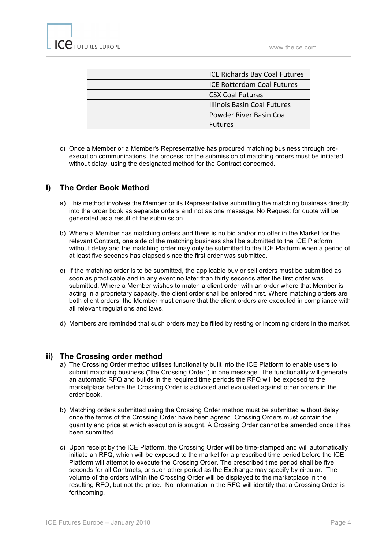| <b>ICE Richards Bay Coal Futures</b> |
|--------------------------------------|
| <b>ICE Rotterdam Coal Futures</b>    |
| <b>CSX Coal Futures</b>              |
| <b>Illinois Basin Coal Futures</b>   |
| Powder River Basin Coal              |
| <b>Futures</b>                       |

c) Once a Member or a Member's Representative has procured matching business through preexecution communications, the process for the submission of matching orders must be initiated without delay, using the designated method for the Contract concerned.

## **i) The Order Book Method**

- a) This method involves the Member or its Representative submitting the matching business directly into the order book as separate orders and not as one message. No Request for quote will be generated as a result of the submission.
- b) Where a Member has matching orders and there is no bid and/or no offer in the Market for the relevant Contract, one side of the matching business shall be submitted to the ICE Platform without delay and the matching order may only be submitted to the ICE Platform when a period of at least five seconds has elapsed since the first order was submitted.
- c) If the matching order is to be submitted, the applicable buy or sell orders must be submitted as soon as practicable and in any event no later than thirty seconds after the first order was submitted. Where a Member wishes to match a client order with an order where that Member is acting in a proprietary capacity, the client order shall be entered first. Where matching orders are both client orders, the Member must ensure that the client orders are executed in compliance with all relevant regulations and laws.
- d) Members are reminded that such orders may be filled by resting or incoming orders in the market.

#### **ii) The Crossing order method**

- a) The Crossing Order method utilises functionality built into the ICE Platform to enable users to submit matching business ("the Crossing Order") in one message. The functionality will generate an automatic RFQ and builds in the required time periods the RFQ will be exposed to the marketplace before the Crossing Order is activated and evaluated against other orders in the order book.
- b) Matching orders submitted using the Crossing Order method must be submitted without delay once the terms of the Crossing Order have been agreed. Crossing Orders must contain the quantity and price at which execution is sought. A Crossing Order cannot be amended once it has been submitted.
- c) Upon receipt by the ICE Platform, the Crossing Order will be time-stamped and will automatically initiate an RFQ, which will be exposed to the market for a prescribed time period before the ICE Platform will attempt to execute the Crossing Order. The prescribed time period shall be five seconds for all Contracts, or such other period as the Exchange may specify by circular. The volume of the orders within the Crossing Order will be displayed to the marketplace in the resulting RFQ, but not the price. No information in the RFQ will identify that a Crossing Order is forthcoming.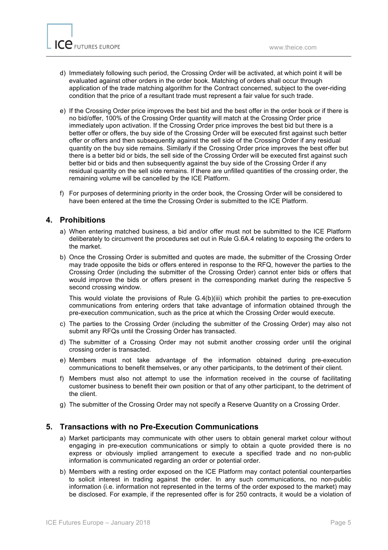- d) Immediately following such period, the Crossing Order will be activated, at which point it will be evaluated against other orders in the order book. Matching of orders shall occur through application of the trade matching algorithm for the Contract concerned, subject to the over-riding condition that the price of a resultant trade must represent a fair value for such trade.
- e) If the Crossing Order price improves the best bid and the best offer in the order book or if there is no bid/offer, 100% of the Crossing Order quantity will match at the Crossing Order price immediately upon activation. If the Crossing Order price improves the best bid but there is a better offer or offers, the buy side of the Crossing Order will be executed first against such better offer or offers and then subsequently against the sell side of the Crossing Order if any residual quantity on the buy side remains. Similarly if the Crossing Order price improves the best offer but there is a better bid or bids, the sell side of the Crossing Order will be executed first against such better bid or bids and then subsequently against the buy side of the Crossing Order if any residual quantity on the sell side remains. If there are unfilled quantities of the crossing order, the remaining volume will be cancelled by the ICE Platform.
- f) For purposes of determining priority in the order book, the Crossing Order will be considered to have been entered at the time the Crossing Order is submitted to the ICE Platform.

#### **4. Prohibitions**

- a) When entering matched business, a bid and/or offer must not be submitted to the ICE Platform deliberately to circumvent the procedures set out in Rule G.6A.4 relating to exposing the orders to the market.
- b) Once the Crossing Order is submitted and quotes are made, the submitter of the Crossing Order may trade opposite the bids or offers entered in response to the RFQ, however the parties to the Crossing Order (including the submitter of the Crossing Order) cannot enter bids or offers that would improve the bids or offers present in the corresponding market during the respective 5 second crossing window.

This would violate the provisions of Rule G.4(b)(iii) which prohibit the parties to pre-execution communications from entering orders that take advantage of information obtained through the pre-execution communication, such as the price at which the Crossing Order would execute.

- c) The parties to the Crossing Order (including the submitter of the Crossing Order) may also not submit any RFQs until the Crossing Order has transacted.
- d) The submitter of a Crossing Order may not submit another crossing order until the original crossing order is transacted.
- e) Members must not take advantage of the information obtained during pre-execution communications to benefit themselves, or any other participants, to the detriment of their client.
- f) Members must also not attempt to use the information received in the course of facilitating customer business to benefit their own position or that of any other participant, to the detriment of the client.
- g) The submitter of the Crossing Order may not specify a Reserve Quantity on a Crossing Order.

### **5. Transactions with no Pre-Execution Communications**

- a) Market participants may communicate with other users to obtain general market colour without engaging in pre-execution communications or simply to obtain a quote provided there is no express or obviously implied arrangement to execute a specified trade and no non-public information is communicated regarding an order or potential order.
- b) Members with a resting order exposed on the ICE Platform may contact potential counterparties to solicit interest in trading against the order. In any such communications, no non-public information (i.e. information not represented in the terms of the order exposed to the market) may be disclosed. For example, if the represented offer is for 250 contracts, it would be a violation of